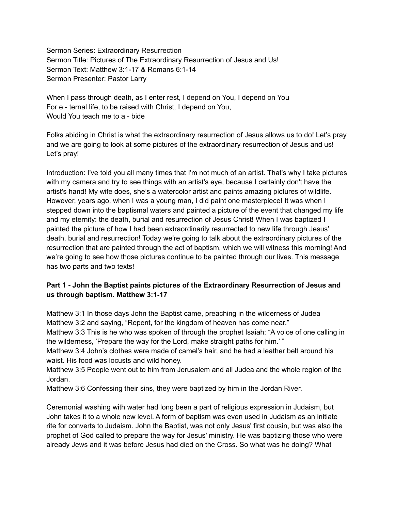Sermon Series: Extraordinary Resurrection Sermon Title: Pictures of The Extraordinary Resurrection of Jesus and Us! Sermon Text: Matthew 3:1-17 & Romans 6:1-14 Sermon Presenter: Pastor Larry

When I pass through death, as I enter rest, I depend on You, I depend on You For e - ternal life, to be raised with Christ, I depend on You, Would You teach me to a - bide

Folks abiding in Christ is what the extraordinary resurrection of Jesus allows us to do! Let's pray and we are going to look at some pictures of the extraordinary resurrection of Jesus and us! Let's pray!

Introduction: I've told you all many times that I'm not much of an artist. That's why I take pictures with my camera and try to see things with an artist's eye, because I certainly don't have the artist's hand! My wife does, she's a watercolor artist and paints amazing pictures of wildlife. However, years ago, when I was a young man, I did paint one masterpiece! It was when I stepped down into the baptismal waters and painted a picture of the event that changed my life and my eternity: the death, burial and resurrection of Jesus Christ! When I was baptized I painted the picture of how I had been extraordinarily resurrected to new life through Jesus' death, burial and resurrection! Today we're going to talk about the extraordinary pictures of the resurrection that are painted through the act of baptism, which we will witness this morning! And we're going to see how those pictures continue to be painted through our lives. This message has two parts and two texts!

# **Part 1 - John the Baptist paints pictures of the Extraordinary Resurrection of Jesus and us through baptism. Matthew 3:1-17**

Matthew 3:1 In those days John the Baptist came, preaching in the wilderness of Judea Matthew 3:2 and saying, "Repent, for the kingdom of heaven has come near."

Matthew 3:3 This is he who was spoken of through the prophet Isaiah: "A voice of one calling in the wilderness, 'Prepare the way for the Lord, make straight paths for him.' "

Matthew 3:4 John's clothes were made of camel's hair, and he had a leather belt around his waist. His food was locusts and wild honey.

Matthew 3:5 People went out to him from Jerusalem and all Judea and the whole region of the Jordan.

Matthew 3:6 Confessing their sins, they were baptized by him in the Jordan River.

Ceremonial washing with water had long been a part of religious expression in Judaism, but John takes it to a whole new level. A form of baptism was even used in Judaism as an initiate rite for converts to Judaism. John the Baptist, was not only Jesus' first cousin, but was also the prophet of God called to prepare the way for Jesus' ministry. He was baptizing those who were already Jews and it was before Jesus had died on the Cross. So what was he doing? What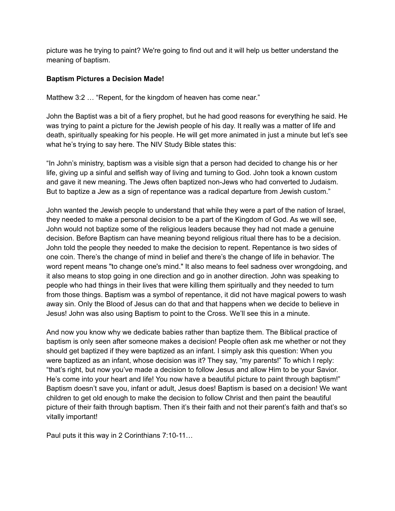picture was he trying to paint? We're going to find out and it will help us better understand the meaning of baptism.

#### **Baptism Pictures a Decision Made!**

Matthew 3:2 ... "Repent, for the kingdom of heaven has come near."

John the Baptist was a bit of a fiery prophet, but he had good reasons for everything he said. He was trying to paint a picture for the Jewish people of his day. It really was a matter of life and death, spiritually speaking for his people. He will get more animated in just a minute but let's see what he's trying to say here. The NIV Study Bible states this:

"In John's ministry, baptism was a visible sign that a person had decided to change his or her life, giving up a sinful and selfish way of living and turning to God. John took a known custom and gave it new meaning. The Jews often baptized non-Jews who had converted to Judaism. But to baptize a Jew as a sign of repentance was a radical departure from Jewish custom."

John wanted the Jewish people to understand that while they were a part of the nation of Israel, they needed to make a personal decision to be a part of the Kingdom of God. As we will see, John would not baptize some of the religious leaders because they had not made a genuine decision. Before Baptism can have meaning beyond religious ritual there has to be a decision. John told the people they needed to make the decision to repent. Repentance is two sides of one coin. There's the change of mind in belief and there's the change of life in behavior. The word repent means "to change one's mind." It also means to feel sadness over wrongdoing, and it also means to stop going in one direction and go in another direction. John was speaking to people who had things in their lives that were killing them spiritually and they needed to turn from those things. Baptism was a symbol of repentance, it did not have magical powers to wash away sin. Only the Blood of Jesus can do that and that happens when we decide to believe in Jesus! John was also using Baptism to point to the Cross. We'll see this in a minute.

And now you know why we dedicate babies rather than baptize them. The Biblical practice of baptism is only seen after someone makes a decision! People often ask me whether or not they should get baptized if they were baptized as an infant. I simply ask this question: When you were baptized as an infant, whose decision was it? They say, "my parents!" To which I reply: "that's right, but now you've made a decision to follow Jesus and allow Him to be your Savior. He's come into your heart and life! You now have a beautiful picture to paint through baptism!" Baptism doesn't save you, infant or adult, Jesus does! Baptism is based on a decision! We want children to get old enough to make the decision to follow Christ and then paint the beautiful picture of their faith through baptism. Then it's their faith and not their parent's faith and that's so vitally important!

Paul puts it this way in 2 Corinthians 7:10-11…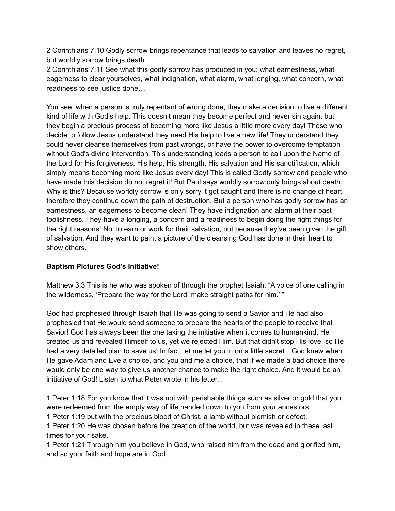2 Corinthians 7:10 Godly sorrow brings repentance that leads to salvation and leaves no regret, but worldly sorrow brings death.

2 Corinthians 7:11 See what this godly sorrow has produced in you: what earnestness, what eagerness to clear yourselves, what indignation, what alarm, what longing, what concern, what readiness to see justice done…

You see, when a person is truly repentant of wrong done, they make a decision to live a different kind of life with God's help. This doesn't mean they become perfect and never sin again, but they begin a precious process of becoming more like Jesus a little more every day! Those who decide to follow Jesus understand they need His help to live a new life! They understand they could never cleanse themselves from past wrongs, or have the power to overcome temptation without God's divine intervention. This understanding leads a person to call upon the Name of the Lord for His forgiveness, His help, His strength, His salvation and His sanctification, which simply means becoming more like Jesus every day! This is called Godly sorrow and people who have made this decision do not regret it! But Paul says worldly sorrow only brings about death. Why is this? Because worldly sorrow is only sorry it got caught and there is no change of heart, therefore they continue down the path of destruction. But a person who has godly sorrow has an earnestness, an eagerness to become clean! They have indignation and alarm at their past foolishness. They have a longing, a concern and a readiness to begin doing the right things for the right reasons! Not to earn or work for their salvation, but because they've been given the gift of salvation. And they want to paint a picture of the cleansing God has done in their heart to show others.

# **Baptism Pictures God's Initiative!**

Matthew 3:3 This is he who was spoken of through the prophet Isaiah: "A voice of one calling in the wilderness, 'Prepare the way for the Lord, make straight paths for him.' "

God had prophesied through Isaiah that He was going to send a Savior and He had also prophesied that He would send someone to prepare the hearts of the people to receive that Savior! God has always been the one taking the initiative when it comes to humankind. He created us and revealed Himself to us, yet we rejected Him. But that didn't stop His love, so He had a very detailed plan to save us! In fact, let me let you in on a little secret...God knew when He gave Adam and Eve a choice, and you and me a choice, that if we made a bad choice there would only be one way to give us another chance to make the right choice. And it would be an initiative of God! Listen to what Peter wrote in his letter...

1 Peter 1:18 For you know that it was not with perishable things such as silver or gold that you were redeemed from the empty way of life handed down to you from your ancestors,

1 Peter 1:19 but with the precious blood of Christ, a lamb without blemish or defect.

1 Peter 1:20 He was chosen before the creation of the world, but was revealed in these last times for your sake.

1 Peter 1:21 Through him you believe in God, who raised him from the dead and glorified him, and so your faith and hope are in God.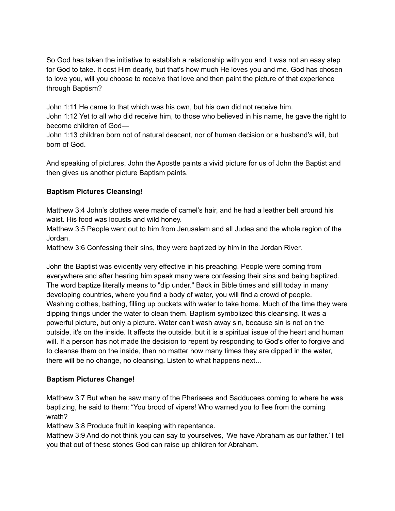So God has taken the initiative to establish a relationship with you and it was not an easy step for God to take. It cost Him dearly, but that's how much He loves you and me. God has chosen to love you, will you choose to receive that love and then paint the picture of that experience through Baptism?

John 1:11 He came to that which was his own, but his own did not receive him.

John 1:12 Yet to all who did receive him, to those who believed in his name, he gave the right to become children of God—

John 1:13 children born not of natural descent, nor of human decision or a husband's will, but born of God.

And speaking of pictures, John the Apostle paints a vivid picture for us of John the Baptist and then gives us another picture Baptism paints.

# **Baptism Pictures Cleansing!**

Matthew 3:4 John's clothes were made of camel's hair, and he had a leather belt around his waist. His food was locusts and wild honey.

Matthew 3:5 People went out to him from Jerusalem and all Judea and the whole region of the Jordan.

Matthew 3:6 Confessing their sins, they were baptized by him in the Jordan River.

John the Baptist was evidently very effective in his preaching. People were coming from everywhere and after hearing him speak many were confessing their sins and being baptized. The word baptize literally means to "dip under." Back in Bible times and still today in many developing countries, where you find a body of water, you will find a crowd of people. Washing clothes, bathing, filling up buckets with water to take home. Much of the time they were dipping things under the water to clean them. Baptism symbolized this cleansing. It was a powerful picture, but only a picture. Water can't wash away sin, because sin is not on the outside, it's on the inside. It affects the outside, but it is a spiritual issue of the heart and human will. If a person has not made the decision to repent by responding to God's offer to forgive and to cleanse them on the inside, then no matter how many times they are dipped in the water, there will be no change, no cleansing. Listen to what happens next...

# **Baptism Pictures Change!**

Matthew 3:7 But when he saw many of the Pharisees and Sadducees coming to where he was baptizing, he said to them: "You brood of vipers! Who warned you to flee from the coming wrath?

Matthew 3:8 Produce fruit in keeping with repentance.

Matthew 3:9 And do not think you can say to yourselves, 'We have Abraham as our father.' I tell you that out of these stones God can raise up children for Abraham.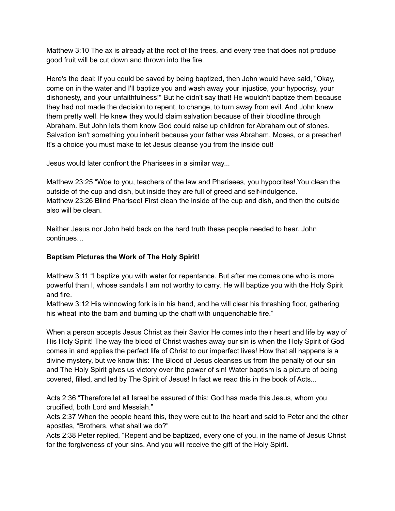Matthew 3:10 The ax is already at the root of the trees, and every tree that does not produce good fruit will be cut down and thrown into the fire.

Here's the deal: If you could be saved by being baptized, then John would have said, "Okay, come on in the water and I'll baptize you and wash away your injustice, your hypocrisy, your dishonesty, and your unfaithfulness!" But he didn't say that! He wouldn't baptize them because they had not made the decision to repent, to change, to turn away from evil. And John knew them pretty well. He knew they would claim salvation because of their bloodline through Abraham. But John lets them know God could raise up children for Abraham out of stones. Salvation isn't something you inherit because your father was Abraham, Moses, or a preacher! It's a choice you must make to let Jesus cleanse you from the inside out!

Jesus would later confront the Pharisees in a similar way...

Matthew 23:25 "Woe to you, teachers of the law and Pharisees, you hypocrites! You clean the outside of the cup and dish, but inside they are full of greed and self-indulgence. Matthew 23:26 Blind Pharisee! First clean the inside of the cup and dish, and then the outside also will be clean.

Neither Jesus nor John held back on the hard truth these people needed to hear. John continues…

# **Baptism Pictures the Work of The Holy Spirit!**

Matthew 3:11 "I baptize you with water for repentance. But after me comes one who is more powerful than I, whose sandals I am not worthy to carry. He will baptize you with the Holy Spirit and fire.

Matthew 3:12 His winnowing fork is in his hand, and he will clear his threshing floor, gathering his wheat into the barn and burning up the chaff with unquenchable fire."

When a person accepts Jesus Christ as their Savior He comes into their heart and life by way of His Holy Spirit! The way the blood of Christ washes away our sin is when the Holy Spirit of God comes in and applies the perfect life of Christ to our imperfect lives! How that all happens is a divine mystery, but we know this: The Blood of Jesus cleanses us from the penalty of our sin and The Holy Spirit gives us victory over the power of sin! Water baptism is a picture of being covered, filled, and led by The Spirit of Jesus! In fact we read this in the book of Acts...

Acts 2:36 "Therefore let all Israel be assured of this: God has made this Jesus, whom you crucified, both Lord and Messiah."

Acts 2:37 When the people heard this, they were cut to the heart and said to Peter and the other apostles, "Brothers, what shall we do?"

Acts 2:38 Peter replied, "Repent and be baptized, every one of you, in the name of Jesus Christ for the forgiveness of your sins. And you will receive the gift of the Holy Spirit.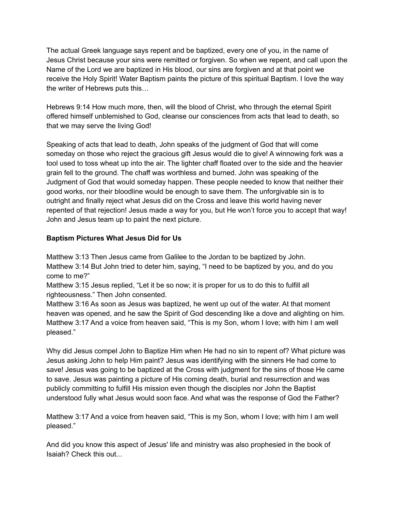The actual Greek language says repent and be baptized, every one of you, in the name of Jesus Christ because your sins were remitted or forgiven. So when we repent, and call upon the Name of the Lord we are baptized in His blood, our sins are forgiven and at that point we receive the Holy Spirit! Water Baptism paints the picture of this spiritual Baptism. I love the way the writer of Hebrews puts this…

Hebrews 9:14 How much more, then, will the blood of Christ, who through the eternal Spirit offered himself unblemished to God, cleanse our consciences from acts that lead to death, so that we may serve the living God!

Speaking of acts that lead to death, John speaks of the judgment of God that will come someday on those who reject the gracious gift Jesus would die to give! A winnowing fork was a tool used to toss wheat up into the air. The lighter chaff floated over to the side and the heavier grain fell to the ground. The chaff was worthless and burned. John was speaking of the Judgment of God that would someday happen. These people needed to know that neither their good works, nor their bloodline would be enough to save them. The unforgivable sin is to outright and finally reject what Jesus did on the Cross and leave this world having never repented of that rejection! Jesus made a way for you, but He won't force you to accept that way! John and Jesus team up to paint the next picture.

# **Baptism Pictures What Jesus Did for Us**

Matthew 3:13 Then Jesus came from Galilee to the Jordan to be baptized by John. Matthew 3:14 But John tried to deter him, saying, "I need to be baptized by you, and do you come to me?"

Matthew 3:15 Jesus replied, "Let it be so now; it is proper for us to do this to fulfill all righteousness." Then John consented.

Matthew 3:16 As soon as Jesus was baptized, he went up out of the water. At that moment heaven was opened, and he saw the Spirit of God descending like a dove and alighting on him. Matthew 3:17 And a voice from heaven said, "This is my Son, whom I love; with him I am well pleased."

Why did Jesus compel John to Baptize Him when He had no sin to repent of? What picture was Jesus asking John to help Him paint? Jesus was identifying with the sinners He had come to save! Jesus was going to be baptized at the Cross with judgment for the sins of those He came to save. Jesus was painting a picture of His coming death, burial and resurrection and was publicly committing to fulfill His mission even though the disciples nor John the Baptist understood fully what Jesus would soon face. And what was the response of God the Father?

Matthew 3:17 And a voice from heaven said, "This is my Son, whom I love; with him I am well pleased."

And did you know this aspect of Jesus' life and ministry was also prophesied in the book of Isaiah? Check this out...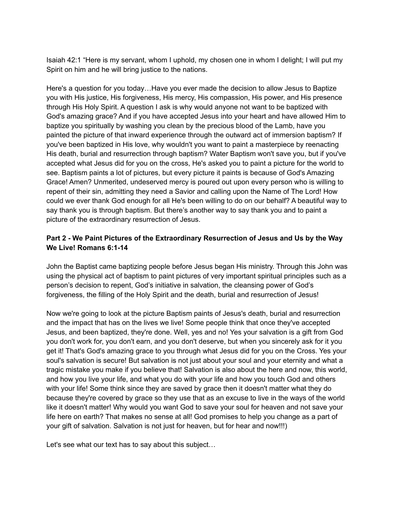Isaiah 42:1 "Here is my servant, whom I uphold, my chosen one in whom I delight; I will put my Spirit on him and he will bring justice to the nations.

Here's a question for you today…Have you ever made the decision to allow Jesus to Baptize you with His justice, His forgiveness, His mercy, His compassion, His power, and His presence through His Holy Spirit. A question I ask is why would anyone not want to be baptized with God's amazing grace? And if you have accepted Jesus into your heart and have allowed Him to baptize you spiritually by washing you clean by the precious blood of the Lamb, have you painted the picture of that inward experience through the outward act of immersion baptism? If you've been baptized in His love, why wouldn't you want to paint a masterpiece by reenacting His death, burial and resurrection through baptism? Water Baptism won't save you, but if you've accepted what Jesus did for you on the cross, He's asked you to paint a picture for the world to see. Baptism paints a lot of pictures, but every picture it paints is because of God's Amazing Grace! Amen? Unmerited, undeserved mercy is poured out upon every person who is willing to repent of their sin, admitting they need a Savior and calling upon the Name of The Lord! How could we ever thank God enough for all He's been willing to do on our behalf? A beautiful way to say thank you is through baptism. But there's another way to say thank you and to paint a picture of the extraordinary resurrection of Jesus.

# **Part 2 - We Paint Pictures of the Extraordinary Resurrection of Jesus and Us by the Way We Live! Romans 6:1-14**

John the Baptist came baptizing people before Jesus began His ministry. Through this John was using the physical act of baptism to paint pictures of very important spiritual principles such as a person's decision to repent, God's initiative in salvation, the cleansing power of God's forgiveness, the filling of the Holy Spirit and the death, burial and resurrection of Jesus!

Now we're going to look at the picture Baptism paints of Jesus's death, burial and resurrection and the impact that has on the lives we live! Some people think that once they've accepted Jesus, and been baptized, they're done. Well, yes and no! Yes your salvation is a gift from God you don't work for, you don't earn, and you don't deserve, but when you sincerely ask for it you get it! That's God's amazing grace to you through what Jesus did for you on the Cross. Yes your soul's salvation is secure! But salvation is not just about your soul and your eternity and what a tragic mistake you make if you believe that! Salvation is also about the here and now, this world, and how you live your life, and what you do with your life and how you touch God and others with your life! Some think since they are saved by grace then it doesn't matter what they do because they're covered by grace so they use that as an excuse to live in the ways of the world like it doesn't matter! Why would you want God to save your soul for heaven and not save your life here on earth? That makes no sense at all! God promises to help you change as a part of your gift of salvation. Salvation is not just for heaven, but for hear and now!!!)

Let's see what our text has to say about this subject…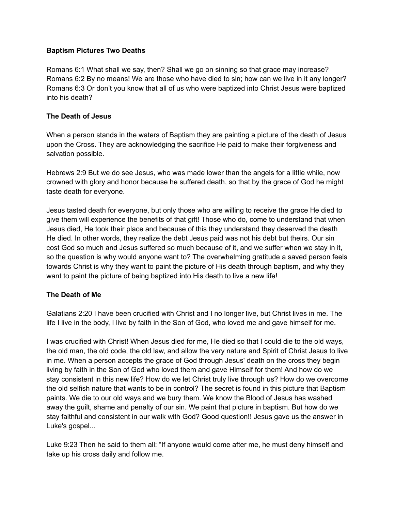#### **Baptism Pictures Two Deaths**

Romans 6:1 What shall we say, then? Shall we go on sinning so that grace may increase? Romans 6:2 By no means! We are those who have died to sin; how can we live in it any longer? Romans 6:3 Or don't you know that all of us who were baptized into Christ Jesus were baptized into his death?

### **The Death of Jesus**

When a person stands in the waters of Baptism they are painting a picture of the death of Jesus upon the Cross. They are acknowledging the sacrifice He paid to make their forgiveness and salvation possible.

Hebrews 2:9 But we do see Jesus, who was made lower than the angels for a little while, now crowned with glory and honor because he suffered death, so that by the grace of God he might taste death for everyone.

Jesus tasted death for everyone, but only those who are willing to receive the grace He died to give them will experience the benefits of that gift! Those who do, come to understand that when Jesus died, He took their place and because of this they understand they deserved the death He died. In other words, they realize the debt Jesus paid was not his debt but theirs. Our sin cost God so much and Jesus suffered so much because of it, and we suffer when we stay in it, so the question is why would anyone want to? The overwhelming gratitude a saved person feels towards Christ is why they want to paint the picture of His death through baptism, and why they want to paint the picture of being baptized into His death to live a new life!

# **The Death of Me**

Galatians 2:20 I have been crucified with Christ and I no longer live, but Christ lives in me. The life I live in the body, I live by faith in the Son of God, who loved me and gave himself for me.

I was crucified with Christ! When Jesus died for me, He died so that I could die to the old ways, the old man, the old code, the old law, and allow the very nature and Spirit of Christ Jesus to live in me. When a person accepts the grace of God through Jesus' death on the cross they begin living by faith in the Son of God who loved them and gave Himself for them! And how do we stay consistent in this new life? How do we let Christ truly live through us? How do we overcome the old selfish nature that wants to be in control? The secret is found in this picture that Baptism paints. We die to our old ways and we bury them. We know the Blood of Jesus has washed away the guilt, shame and penalty of our sin. We paint that picture in baptism. But how do we stay faithful and consistent in our walk with God? Good question!! Jesus gave us the answer in Luke's gospel...

Luke 9:23 Then he said to them all: "If anyone would come after me, he must deny himself and take up his cross daily and follow me.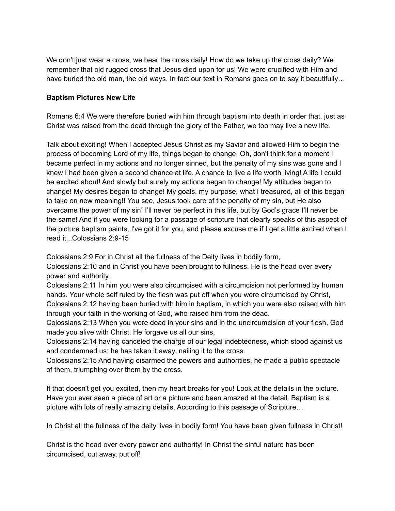We don't just wear a cross, we bear the cross daily! How do we take up the cross daily? We remember that old rugged cross that Jesus died upon for us! We were crucified with Him and have buried the old man, the old ways. In fact our text in Romans goes on to say it beautifully...

#### **Baptism Pictures New Life**

Romans 6:4 We were therefore buried with him through baptism into death in order that, just as Christ was raised from the dead through the glory of the Father, we too may live a new life.

Talk about exciting! When I accepted Jesus Christ as my Savior and allowed Him to begin the process of becoming Lord of my life, things began to change. Oh, don't think for a moment I became perfect in my actions and no longer sinned, but the penalty of my sins was gone and I knew I had been given a second chance at life. A chance to live a life worth living! A life I could be excited about! And slowly but surely my actions began to change! My attitudes began to change! My desires began to change! My goals, my purpose, what I treasured, all of this began to take on new meaning!! You see, Jesus took care of the penalty of my sin, but He also overcame the power of my sin! I'll never be perfect in this life, but by God's grace I'll never be the same! And if you were looking for a passage of scripture that clearly speaks of this aspect of the picture baptism paints, I've got it for you, and please excuse me if I get a little excited when I read it...Colossians 2:9-15

Colossians 2:9 For in Christ all the fullness of the Deity lives in bodily form,

Colossians 2:10 and in Christ you have been brought to fullness. He is the head over every power and authority.

Colossians 2:11 In him you were also circumcised with a circumcision not performed by human hands. Your whole self ruled by the flesh was put off when you were circumcised by Christ, Colossians 2:12 having been buried with him in baptism, in which you were also raised with him through your faith in the working of God, who raised him from the dead.

Colossians 2:13 When you were dead in your sins and in the uncircumcision of your flesh, God made you alive with Christ. He forgave us all our sins,

Colossians 2:14 having canceled the charge of our legal indebtedness, which stood against us and condemned us; he has taken it away, nailing it to the cross.

Colossians 2:15 And having disarmed the powers and authorities, he made a public spectacle of them, triumphing over them by the cross.

If that doesn't get you excited, then my heart breaks for you! Look at the details in the picture. Have you ever seen a piece of art or a picture and been amazed at the detail. Baptism is a picture with lots of really amazing details. According to this passage of Scripture…

In Christ all the fullness of the deity lives in bodily form! You have been given fullness in Christ!

Christ is the head over every power and authority! In Christ the sinful nature has been circumcised, cut away, put off!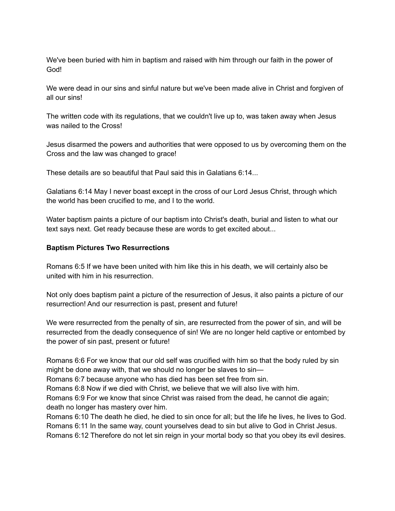We've been buried with him in baptism and raised with him through our faith in the power of God!

We were dead in our sins and sinful nature but we've been made alive in Christ and forgiven of all our sins!

The written code with its regulations, that we couldn't live up to, was taken away when Jesus was nailed to the Cross!

Jesus disarmed the powers and authorities that were opposed to us by overcoming them on the Cross and the law was changed to grace!

These details are so beautiful that Paul said this in Galatians 6:14...

Galatians 6:14 May I never boast except in the cross of our Lord Jesus Christ, through which the world has been crucified to me, and I to the world.

Water baptism paints a picture of our baptism into Christ's death, burial and listen to what our text says next. Get ready because these are words to get excited about...

#### **Baptism Pictures Two Resurrections**

Romans 6:5 If we have been united with him like this in his death, we will certainly also be united with him in his resurrection.

Not only does baptism paint a picture of the resurrection of Jesus, it also paints a picture of our resurrection! And our resurrection is past, present and future!

We were resurrected from the penalty of sin, are resurrected from the power of sin, and will be resurrected from the deadly consequence of sin! We are no longer held captive or entombed by the power of sin past, present or future!

Romans 6:6 For we know that our old self was crucified with him so that the body ruled by sin might be done away with, that we should no longer be slaves to sin—

Romans 6:7 because anyone who has died has been set free from sin.

Romans 6:8 Now if we died with Christ, we believe that we will also live with him.

Romans 6:9 For we know that since Christ was raised from the dead, he cannot die again; death no longer has mastery over him.

Romans 6:10 The death he died, he died to sin once for all; but the life he lives, he lives to God. Romans 6:11 In the same way, count yourselves dead to sin but alive to God in Christ Jesus. Romans 6:12 Therefore do not let sin reign in your mortal body so that you obey its evil desires.